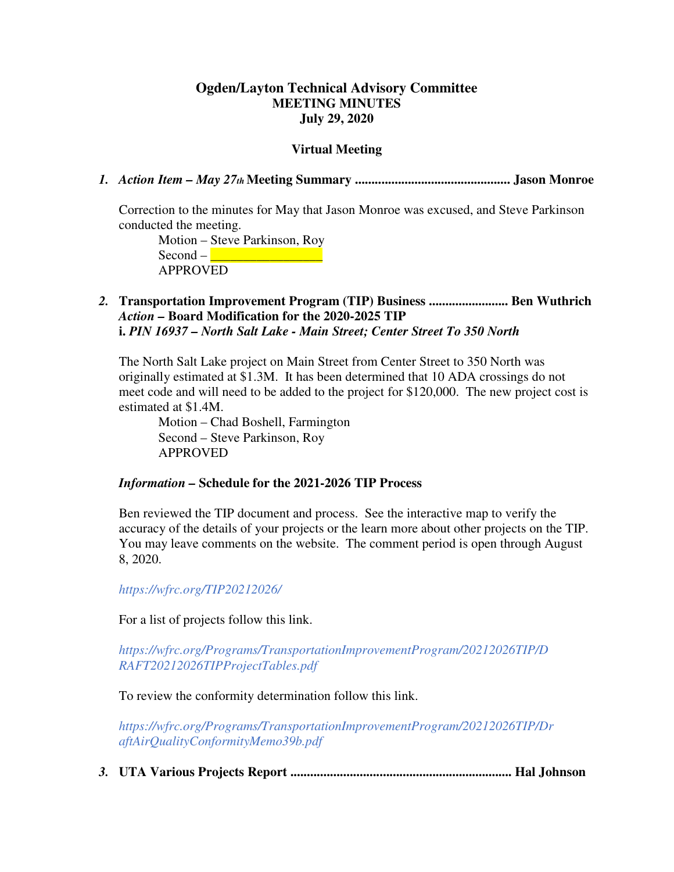## **Ogden/Layton Technical Advisory Committee MEETING MINUTES July 29, 2020**

#### **Virtual Meeting**

*1. Action Item – May 27th* **Meeting Summary ............................................... Jason Monroe** 

Correction to the minutes for May that Jason Monroe was excused, and Steve Parkinson conducted the meeting.

Motion – Steve Parkinson, Roy Second – \_\_\_\_\_\_\_\_\_\_\_\_\_\_\_\_\_ APPROVED

## *2.* **Transportation Improvement Program (TIP) Business ........................ Ben Wuthrich**  *Action –* **Board Modification for the 2020-2025 TIP i.** *PIN 16937 – North Salt Lake - Main Street; Center Street To 350 North*

The North Salt Lake project on Main Street from Center Street to 350 North was originally estimated at \$1.3M. It has been determined that 10 ADA crossings do not meet code and will need to be added to the project for \$120,000. The new project cost is estimated at \$1.4M.

Motion – Chad Boshell, Farmington Second – Steve Parkinson, Roy APPROVED

#### *Information –* **Schedule for the 2021-2026 TIP Process**

Ben reviewed the TIP document and process. See the interactive map to verify the accuracy of the details of your projects or the learn more about other projects on the TIP. You may leave comments on the website. The comment period is open through August 8, 2020.

*https://wfrc.org/TIP20212026/* 

For a list of projects follow this link.

*https://wfrc.org/Programs/TransportationImprovementProgram/20212026TIP/D RAFT20212026TIPProjectTables.pdf* 

To review the conformity determination follow this link.

*https://wfrc.org/Programs/TransportationImprovementProgram/20212026TIP/Dr aftAirQualityConformityMemo39b.pdf* 

*3.* **UTA Various Projects Report ................................................................... Hal Johnson**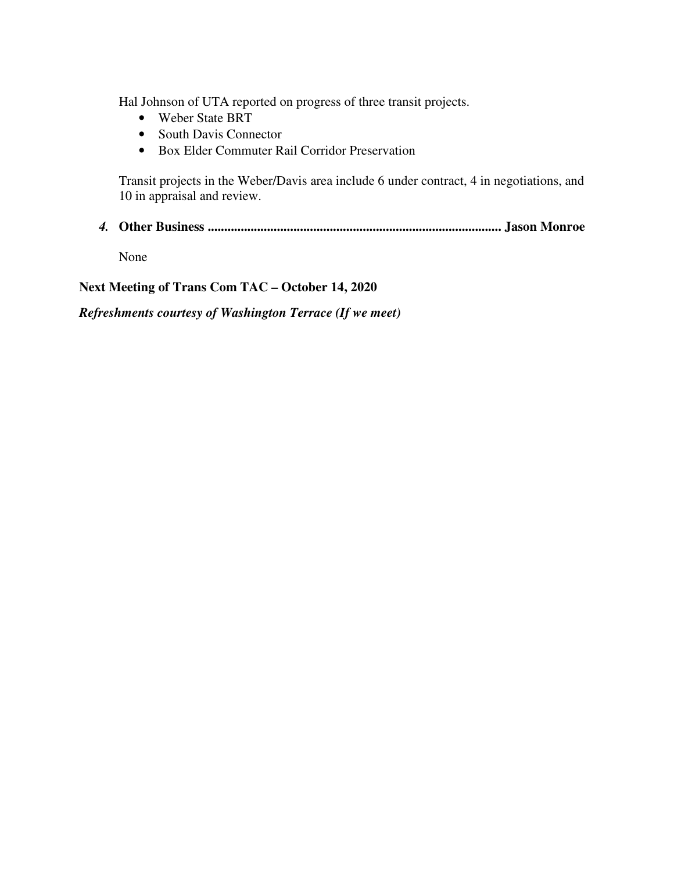Hal Johnson of UTA reported on progress of three transit projects.

- Weber State BRT
- South Davis Connector
- Box Elder Commuter Rail Corridor Preservation

Transit projects in the Weber/Davis area include 6 under contract, 4 in negotiations, and 10 in appraisal and review.

*4.* **Other Business ......................................................................................... Jason Monroe** 

None

**Next Meeting of Trans Com TAC – October 14, 2020** 

*Refreshments courtesy of Washington Terrace (If we meet)*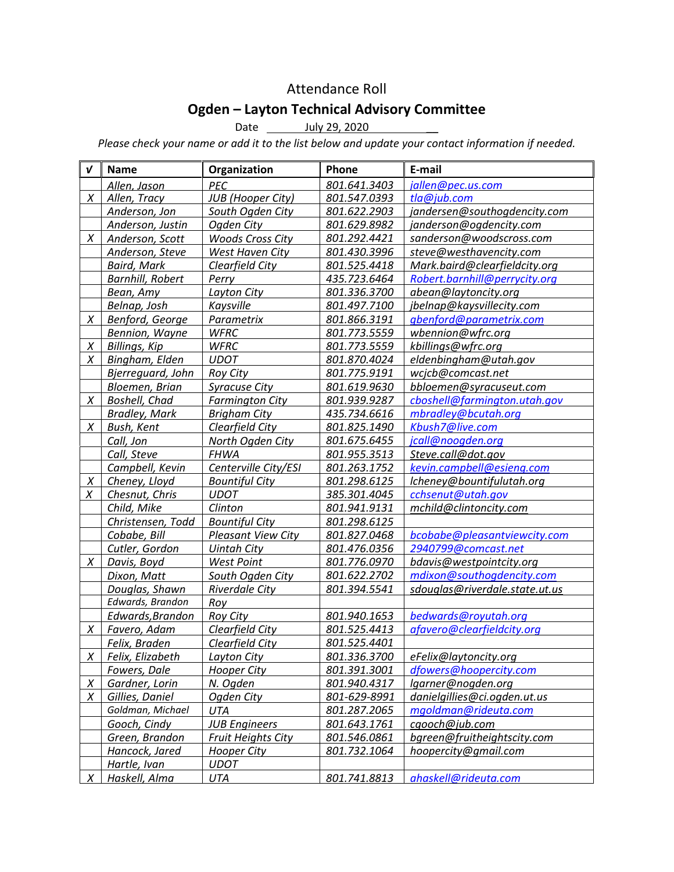## Attendance Roll

# Ogden – Layton Technical Advisory Committee

Date \_\_\_\_\_\_\_\_ July 29, 2020

Please check your name or add it to the list below and update your contact information if needed.

| $\boldsymbol{v}$ | <b>Name</b>             | Organization              | Phone        | E-mail                         |
|------------------|-------------------------|---------------------------|--------------|--------------------------------|
|                  | Allen, Jason            | PEC                       | 801.641.3403 | jallen@pec.us.com              |
| X                | Allen, Tracy            | <b>JUB</b> (Hooper City)  | 801.547.0393 | tla@jub.com                    |
|                  | Anderson, Jon           | South Ogden City          | 801.622.2903 | jandersen@southogdencity.com   |
|                  | Anderson, Justin        | Ogden City                | 801.629.8982 | janderson@ogdencity.com        |
| $\chi$           | Anderson, Scott         | <b>Woods Cross City</b>   | 801.292.4421 | sanderson@woodscross.com       |
|                  | Anderson, Steve         | West Haven City           | 801.430.3996 | steve@westhavencity.com        |
|                  | <b>Baird, Mark</b>      | Clearfield City           | 801.525.4418 | Mark.baird@clearfieldcity.org  |
|                  | <b>Barnhill, Robert</b> | Perry                     | 435.723.6464 | Robert.barnhill@perrycity.org  |
|                  | Bean, Amy               | Layton City               | 801.336.3700 | abean@laytoncity.org           |
|                  | Belnap, Josh            | Kaysville                 | 801.497.7100 | jbelnap@kaysvillecity.com      |
| X                | Benford, George         | Parametrix                | 801.866.3191 | gbenford@parametrix.com        |
|                  | Bennion, Wayne          | <b>WFRC</b>               | 801.773.5559 | wbennion@wfrc.org              |
| $\chi$           | <b>Billings, Kip</b>    | <b>WFRC</b>               | 801.773.5559 | kbillings@wfrc.org             |
| X                | Bingham, Elden          | <b>UDOT</b>               | 801.870.4024 | eldenbingham@utah.gov          |
|                  | Bjerreguard, John       | <b>Roy City</b>           | 801.775.9191 | wcjcb@comcast.net              |
|                  | Bloemen, Brian          | <b>Syracuse City</b>      | 801.619.9630 | bbloemen@syracuseut.com        |
| X                | Boshell, Chad           | <b>Farmington City</b>    | 801.939.9287 | cboshell@farmington.utah.gov   |
|                  | <b>Bradley, Mark</b>    | <b>Brigham City</b>       | 435.734.6616 | mbradley@bcutah.org            |
| X                | Bush, Kent              | Clearfield City           | 801.825.1490 | Kbush7@live.com                |
|                  | Call, Jon               | North Ogden City          | 801.675.6455 | jcall@noogden.org              |
|                  | Call, Steve             | <b>FHWA</b>               | 801.955.3513 | Steve.call@dot.gov             |
|                  | Campbell, Kevin         | Centerville City/ESI      | 801.263.1752 | kevin.campbell@esieng.com      |
| X                | Cheney, Lloyd           | <b>Bountiful City</b>     | 801.298.6125 | Icheney@bountifulutah.org      |
| X                | Chesnut, Chris          | <b>UDOT</b>               | 385.301.4045 | cchsenut@utah.gov              |
|                  | Child, Mike             | Clinton                   | 801.941.9131 | mchild@clintoncity.com         |
|                  | Christensen, Todd       | <b>Bountiful City</b>     | 801.298.6125 |                                |
|                  | Cobabe, Bill            | <b>Pleasant View City</b> | 801.827.0468 | bcobabe@pleasantviewcity.com   |
|                  | Cutler, Gordon          | <b>Uintah City</b>        | 801.476.0356 | 2940799@comcast.net            |
| X                | Davis, Boyd             | <b>West Point</b>         | 801.776.0970 | bdavis@westpointcity.org       |
|                  | Dixon, Matt             | South Ogden City          | 801.622.2702 | mdixon@southogdencity.com      |
|                  | Douglas, Shawn          | <b>Riverdale City</b>     | 801.394.5541 | sdouglas@riverdale.state.ut.us |
|                  | Edwards, Brandon        | Roy                       |              |                                |
|                  | Edwards, Brandon        | <b>Roy City</b>           | 801.940.1653 | bedwards@royutah.org           |
| X                | Favero, Adam            | Clearfield City           | 801.525.4413 | afavero@clearfieldcity.org     |
|                  | Felix, Braden           | Clearfield City           | 801.525.4401 |                                |
| $\chi$           | Felix, Elizabeth        | Layton City               | 801.336.3700 | eFelix@laytoncity.org          |
|                  | Fowers, Dale            | <b>Hooper City</b>        | 801.391.3001 | dfowers@hoopercity.com         |
| $\chi$           | Gardner, Lorin          | N. Ogden                  | 801.940.4317 | lgarner@nogden.org             |
| X                | Gillies, Daniel         | Ogden City                | 801-629-8991 | danielgillies@ci.ogden.ut.us   |
|                  | Goldman, Michael        | UTA                       | 801.287.2065 | mgoldman@rideuta.com           |
|                  | Gooch, Cindy            | <b>JUB Engineers</b>      | 801.643.1761 | cgooch@jub.com                 |
|                  | Green, Brandon          | <b>Fruit Heights City</b> | 801.546.0861 | bgreen@fruitheightscity.com    |
|                  | Hancock, Jared          | <b>Hooper City</b>        | 801.732.1064 | hoopercity@gmail.com           |
|                  | Hartle, Ivan            | <b>UDOT</b>               |              |                                |
|                  |                         |                           |              |                                |
| X                | Haskell, Alma           | UTA                       | 801.741.8813 | ahaskell@rideuta.com           |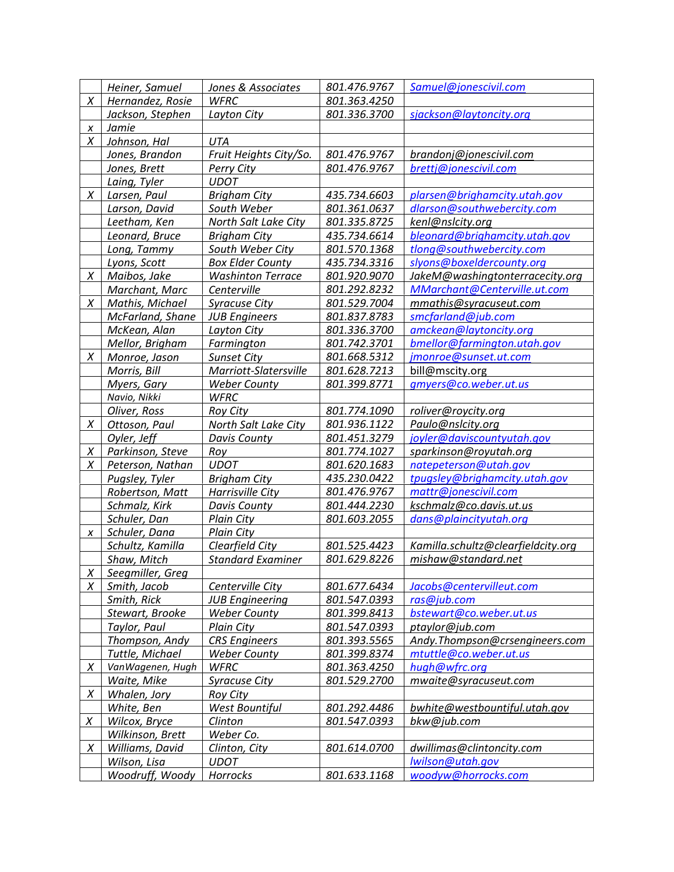|                  | Heiner, Samuel   | Jones & Associates       | 801.476.9767 | Samuel@jonescivil.com              |
|------------------|------------------|--------------------------|--------------|------------------------------------|
| X                | Hernandez, Rosie | <b>WFRC</b>              | 801.363.4250 |                                    |
|                  | Jackson, Stephen | Layton City              | 801.336.3700 | sjackson@laytoncity.org            |
| X                | Jamie            |                          |              |                                    |
| X                | Johnson, Hal     | <b>UTA</b>               |              |                                    |
|                  | Jones, Brandon   | Fruit Heights City/So.   | 801.476.9767 | brandonj@jonescivil.com            |
|                  | Jones, Brett     | Perry City               | 801.476.9767 | brettj@jonescivil.com              |
|                  | Laing, Tyler     | <b>UDOT</b>              |              |                                    |
| X                | Larsen, Paul     | <b>Brigham City</b>      | 435.734.6603 | plarsen@brighamcity.utah.gov       |
|                  | Larson, David    | South Weber              | 801.361.0637 | dlarson@southwebercity.com         |
|                  | Leetham, Ken     | North Salt Lake City     | 801.335.8725 | kenl@nslcity.org                   |
|                  | Leonard, Bruce   | <b>Brigham City</b>      | 435.734.6614 | bleonard@brighamcity.utah.gov      |
|                  | Long, Tammy      | South Weber City         | 801.570.1368 | tlong@southwebercity.com           |
|                  | Lyons, Scott     | <b>Box Elder County</b>  | 435.734.3316 | slyons@boxeldercounty.org          |
| Χ                | Maibos, Jake     | <b>Washinton Terrace</b> | 801.920.9070 | JakeM@washingtonterracecity.org    |
|                  | Marchant, Marc   | Centerville              | 801.292.8232 | MMarchant@Centerville.ut.com       |
| X                | Mathis, Michael  | <b>Syracuse City</b>     | 801.529.7004 | mmathis@syracuseut.com             |
|                  | McFarland, Shane | <b>JUB Engineers</b>     | 801.837.8783 | smcfarland@jub.com                 |
|                  | McKean, Alan     | Layton City              | 801.336.3700 | amckean@laytoncity.org             |
|                  | Mellor, Brigham  | Farmington               | 801.742.3701 | bmellor@farmington.utah.gov        |
| X                | Monroe, Jason    | <b>Sunset City</b>       | 801.668.5312 | jmonroe@sunset.ut.com              |
|                  | Morris, Bill     | Marriott-Slatersville    | 801.628.7213 | bill@mscity.org                    |
|                  | Myers, Gary      | <b>Weber County</b>      | 801.399.8771 | gmyers@co.weber.ut.us              |
|                  | Navio, Nikki     | <b>WFRC</b>              |              |                                    |
|                  | Oliver, Ross     | <b>Roy City</b>          | 801.774.1090 | roliver@roycity.org                |
| X                | Ottoson, Paul    | North Salt Lake City     | 801.936.1122 | Paulo@nslcity.org                  |
|                  | Oyler, Jeff      | <b>Davis County</b>      | 801.451.3279 | joyler@daviscountyutah.gov         |
| X                | Parkinson, Steve | Roy                      | 801.774.1027 | sparkinson@royutah.org             |
| Χ                | Peterson, Nathan | <b>UDOT</b>              | 801.620.1683 | natepeterson@utah.gov              |
|                  | Pugsley, Tyler   | <b>Brigham City</b>      | 435.230.0422 | tpugsley@brighamcity.utah.gov      |
|                  | Robertson, Matt  | Harrisville City         | 801.476.9767 | mattr@jonescivil.com               |
|                  | Schmalz, Kirk    | <b>Davis County</b>      | 801.444.2230 | kschmalz@co.davis.ut.us            |
|                  | Schuler, Dan     | Plain City               | 801.603.2055 | dans@plaincityutah.org             |
| $\boldsymbol{X}$ | Schuler, Dana    | <b>Plain City</b>        |              |                                    |
|                  | Schultz, Kamilla | Clearfield City          | 801.525.4423 | Kamilla.schultz@clearfieldcity.org |
|                  | Shaw, Mitch      | <b>Standard Examiner</b> | 801.629.8226 | mishaw@standard.net                |
| $\chi$           | Seegmiller, Greg |                          |              |                                    |
| X                | Smith, Jacob     | Centerville City         | 801.677.6434 | Jacobs@centervilleut.com           |
|                  | Smith, Rick      | <b>JUB Engineering</b>   | 801.547.0393 | ras@jub.com                        |
|                  | Stewart, Brooke  | <b>Weber County</b>      | 801.399.8413 | bstewart@co.weber.ut.us            |
|                  | Taylor, Paul     | <b>Plain City</b>        | 801.547.0393 | ptaylor@jub.com                    |
|                  | Thompson, Andy   | <b>CRS</b> Engineers     | 801.393.5565 | Andy.Thompson@crsengineers.com     |
|                  | Tuttle, Michael  | <b>Weber County</b>      | 801.399.8374 | mtuttle@co.weber.ut.us             |
| X                | VanWagenen, Hugh | <b>WFRC</b>              | 801.363.4250 | hugh@wfrc.org                      |
|                  | Waite, Mike      | <b>Syracuse City</b>     | 801.529.2700 | mwaite@syracuseut.com              |
| X                | Whalen, Jory     | <b>Roy City</b>          |              |                                    |
|                  | White, Ben       | West Bountiful           | 801.292.4486 | bwhite@westbountiful.utah.gov      |
| X                | Wilcox, Bryce    | Clinton                  | 801.547.0393 | bkw@jub.com                        |
|                  | Wilkinson, Brett | Weber Co.                |              |                                    |
| X                | Williams, David  | Clinton, City            | 801.614.0700 | dwillimas@clintoncity.com          |
|                  | Wilson, Lisa     | <b>UDOT</b>              |              | Iwilson@utah.gov                   |
|                  | Woodruff, Woody  | Horrocks                 | 801.633.1168 | woodyw@horrocks.com                |